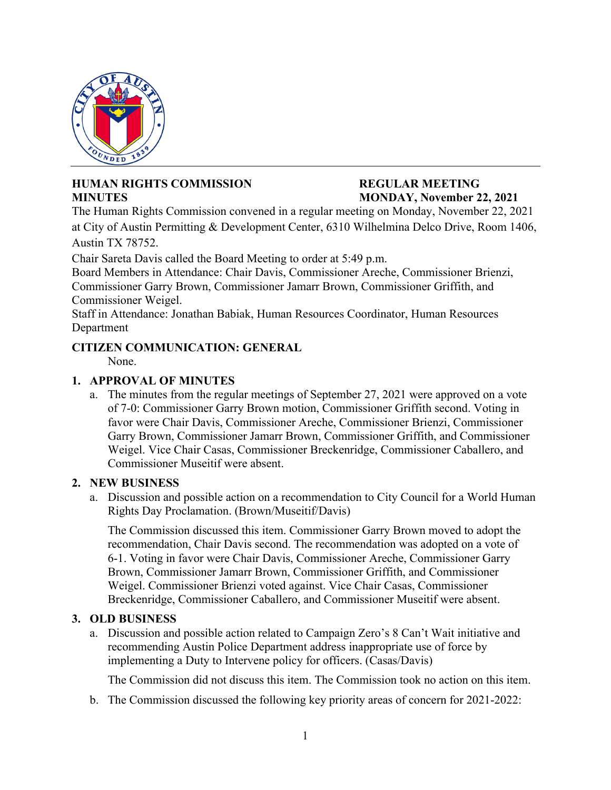

## **HUMAN RIGHTS COMMISSION REGULAR MEETING MINUTES MONDAY, November 22, 2021**

The Human Rights Commission convened in a regular meeting on Monday, November 22, 2021 at City of Austin Permitting & Development Center, 6310 Wilhelmina Delco Drive, Room 1406, Austin TX 78752.

Chair Sareta Davis called the Board Meeting to order at 5:49 p.m.

Board Members in Attendance: Chair Davis, Commissioner Areche, Commissioner Brienzi, Commissioner Garry Brown, Commissioner Jamarr Brown, Commissioner Griffith, and Commissioner Weigel.

Staff in Attendance: Jonathan Babiak, Human Resources Coordinator, Human Resources Department

# **CITIZEN COMMUNICATION: GENERAL**

None.

# **1. APPROVAL OF MINUTES**

a. The minutes from the regular meetings of September 27, 2021 were approved on a vote of 7-0: Commissioner Garry Brown motion, Commissioner Griffith second. Voting in favor were Chair Davis, Commissioner Areche, Commissioner Brienzi, Commissioner Garry Brown, Commissioner Jamarr Brown, Commissioner Griffith, and Commissioner Weigel. Vice Chair Casas, Commissioner Breckenridge, Commissioner Caballero, and Commissioner Museitif were absent.

## **2. NEW BUSINESS**

a. Discussion and possible action on a recommendation to City Council for a World Human Rights Day Proclamation. (Brown/Museitif/Davis)

The Commission discussed this item. Commissioner Garry Brown moved to adopt the recommendation, Chair Davis second. The recommendation was adopted on a vote of 6-1. Voting in favor were Chair Davis, Commissioner Areche, Commissioner Garry Brown, Commissioner Jamarr Brown, Commissioner Griffith, and Commissioner Weigel. Commissioner Brienzi voted against. Vice Chair Casas, Commissioner Breckenridge, Commissioner Caballero, and Commissioner Museitif were absent.

## **3. OLD BUSINESS**

a. Discussion and possible action related to Campaign Zero's 8 Can't Wait initiative and recommending Austin Police Department address inappropriate use of force by implementing a Duty to Intervene policy for officers. (Casas/Davis)

The Commission did not discuss this item. The Commission took no action on this item.

b. The Commission discussed the following key priority areas of concern for 2021-2022: